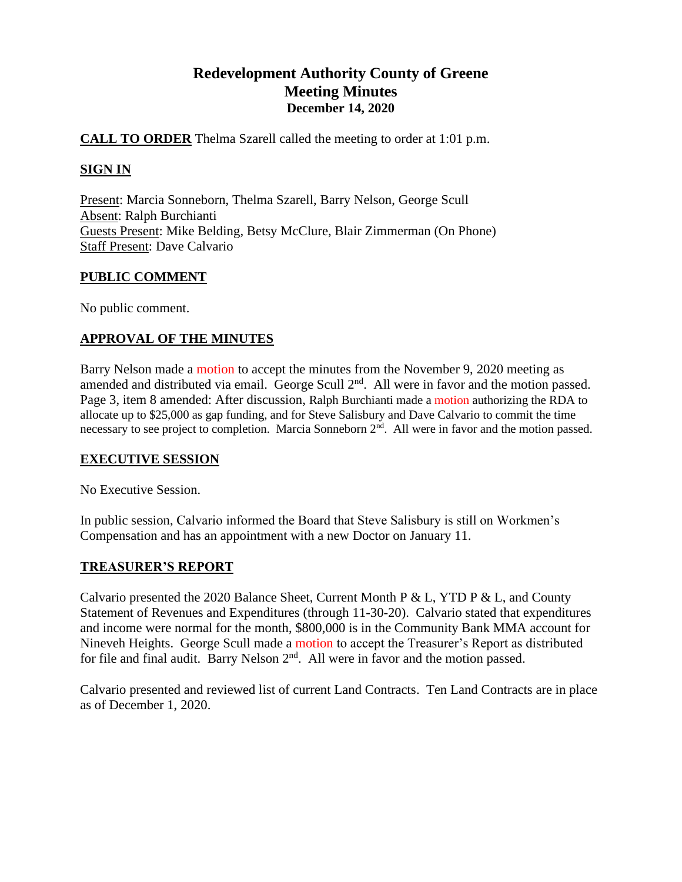# **Redevelopment Authority County of Greene Meeting Minutes December 14, 2020**

### **CALL TO ORDER** Thelma Szarell called the meeting to order at 1:01 p.m.

# **SIGN IN**

Present: Marcia Sonneborn, Thelma Szarell, Barry Nelson, George Scull Absent: Ralph Burchianti Guests Present: Mike Belding, Betsy McClure, Blair Zimmerman (On Phone) Staff Present: Dave Calvario

### **PUBLIC COMMENT**

No public comment.

# **APPROVAL OF THE MINUTES**

Barry Nelson made a motion to accept the minutes from the November 9, 2020 meeting as amended and distributed via email. George Scull  $2<sup>nd</sup>$ . All were in favor and the motion passed. Page 3, item 8 amended: After discussion, Ralph Burchianti made a motion authorizing the RDA to allocate up to \$25,000 as gap funding, and for Steve Salisbury and Dave Calvario to commit the time necessary to see project to completion. Marcia Sonneborn  $2<sup>nd</sup>$ . All were in favor and the motion passed.

### **EXECUTIVE SESSION**

No Executive Session.

In public session, Calvario informed the Board that Steve Salisbury is still on Workmen's Compensation and has an appointment with a new Doctor on January 11.

# **TREASURER'S REPORT**

Calvario presented the 2020 Balance Sheet, Current Month P & L, YTD P & L, and County Statement of Revenues and Expenditures (through 11-30-20). Calvario stated that expenditures and income were normal for the month, \$800,000 is in the Community Bank MMA account for Nineveh Heights. George Scull made a motion to accept the Treasurer's Report as distributed for file and final audit. Barry Nelson  $2<sup>nd</sup>$ . All were in favor and the motion passed.

Calvario presented and reviewed list of current Land Contracts. Ten Land Contracts are in place as of December 1, 2020.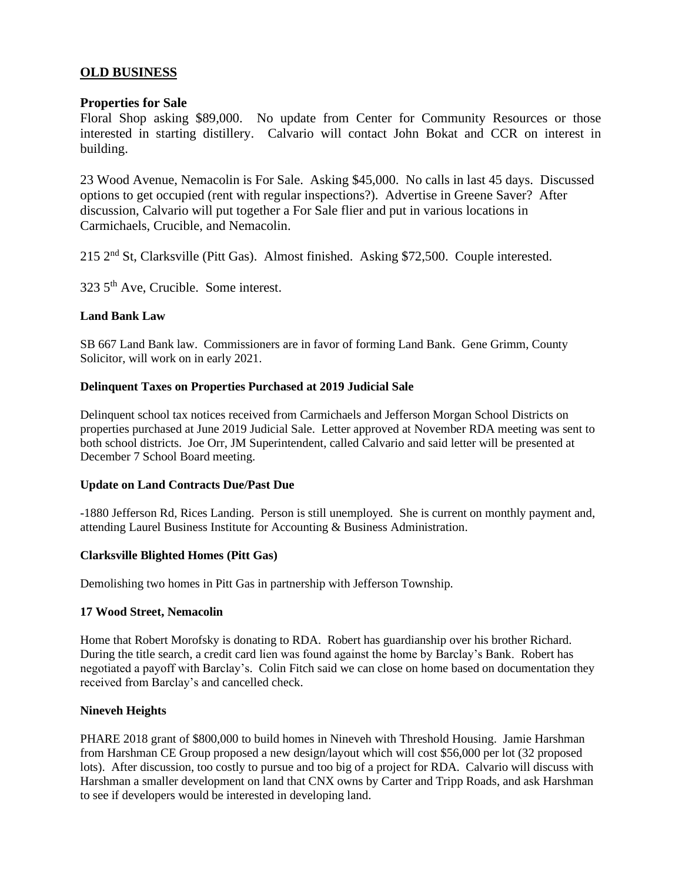### **OLD BUSINESS**

#### **Properties for Sale**

Floral Shop asking \$89,000. No update from Center for Community Resources or those interested in starting distillery. Calvario will contact John Bokat and CCR on interest in building.

23 Wood Avenue, Nemacolin is For Sale. Asking \$45,000. No calls in last 45 days. Discussed options to get occupied (rent with regular inspections?). Advertise in Greene Saver? After discussion, Calvario will put together a For Sale flier and put in various locations in Carmichaels, Crucible, and Nemacolin.

215 2nd St, Clarksville (Pitt Gas). Almost finished. Asking \$72,500. Couple interested.

 $3235<sup>th</sup>$  Ave, Crucible. Some interest.

### **Land Bank Law**

SB 667 Land Bank law. Commissioners are in favor of forming Land Bank. Gene Grimm, County Solicitor, will work on in early 2021.

#### **Delinquent Taxes on Properties Purchased at 2019 Judicial Sale**

Delinquent school tax notices received from Carmichaels and Jefferson Morgan School Districts on properties purchased at June 2019 Judicial Sale. Letter approved at November RDA meeting was sent to both school districts. Joe Orr, JM Superintendent, called Calvario and said letter will be presented at December 7 School Board meeting.

#### **Update on Land Contracts Due/Past Due**

-1880 Jefferson Rd, Rices Landing. Person is still unemployed. She is current on monthly payment and, attending Laurel Business Institute for Accounting & Business Administration.

#### **Clarksville Blighted Homes (Pitt Gas)**

Demolishing two homes in Pitt Gas in partnership with Jefferson Township.

#### **17 Wood Street, Nemacolin**

Home that Robert Morofsky is donating to RDA. Robert has guardianship over his brother Richard. During the title search, a credit card lien was found against the home by Barclay's Bank. Robert has negotiated a payoff with Barclay's. Colin Fitch said we can close on home based on documentation they received from Barclay's and cancelled check.

#### **Nineveh Heights**

PHARE 2018 grant of \$800,000 to build homes in Nineveh with Threshold Housing. Jamie Harshman from Harshman CE Group proposed a new design/layout which will cost \$56,000 per lot (32 proposed lots). After discussion, too costly to pursue and too big of a project for RDA. Calvario will discuss with Harshman a smaller development on land that CNX owns by Carter and Tripp Roads, and ask Harshman to see if developers would be interested in developing land.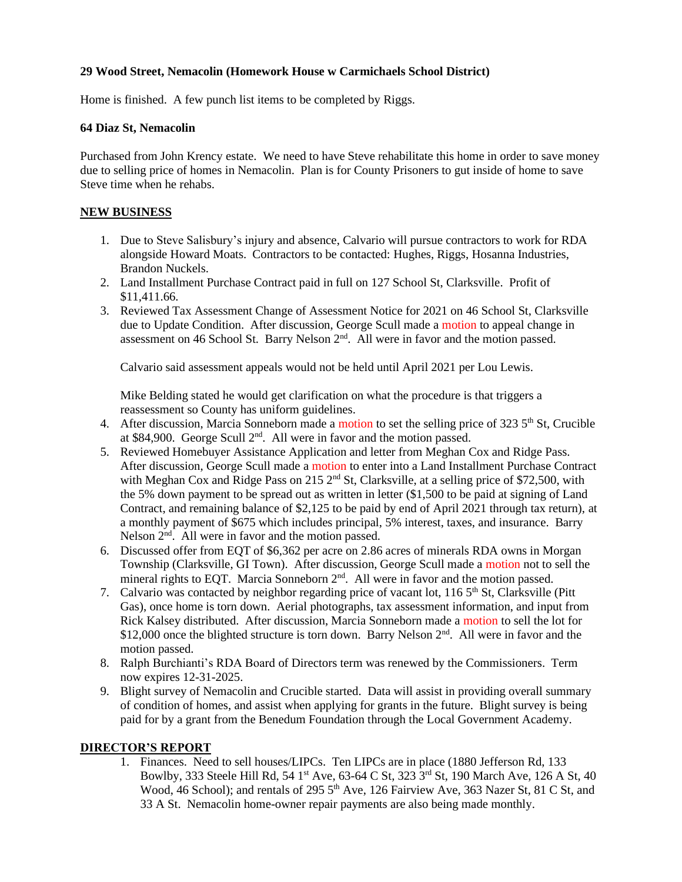### **29 Wood Street, Nemacolin (Homework House w Carmichaels School District)**

Home is finished. A few punch list items to be completed by Riggs.

#### **64 Diaz St, Nemacolin**

Purchased from John Krency estate. We need to have Steve rehabilitate this home in order to save money due to selling price of homes in Nemacolin. Plan is for County Prisoners to gut inside of home to save Steve time when he rehabs.

#### **NEW BUSINESS**

- 1. Due to Steve Salisbury's injury and absence, Calvario will pursue contractors to work for RDA alongside Howard Moats. Contractors to be contacted: Hughes, Riggs, Hosanna Industries, Brandon Nuckels.
- 2. Land Installment Purchase Contract paid in full on 127 School St, Clarksville. Profit of \$11,411.66.
- 3. Reviewed Tax Assessment Change of Assessment Notice for 2021 on 46 School St, Clarksville due to Update Condition. After discussion, George Scull made a motion to appeal change in assessment on 46 School St. Barry Nelson 2<sup>nd</sup>. All were in favor and the motion passed.

Calvario said assessment appeals would not be held until April 2021 per Lou Lewis.

Mike Belding stated he would get clarification on what the procedure is that triggers a reassessment so County has uniform guidelines.

- 4. After discussion, Marcia Sonneborn made a motion to set the selling price of 323  $5<sup>th</sup>$  St, Crucible at \$84,900. George Scull  $2<sup>nd</sup>$ . All were in favor and the motion passed.
- 5. Reviewed Homebuyer Assistance Application and letter from Meghan Cox and Ridge Pass. After discussion, George Scull made a motion to enter into a Land Installment Purchase Contract with Meghan Cox and Ridge Pass on 215 2<sup>nd</sup> St, Clarksville, at a selling price of \$72,500, with the 5% down payment to be spread out as written in letter (\$1,500 to be paid at signing of Land Contract, and remaining balance of \$2,125 to be paid by end of April 2021 through tax return), at a monthly payment of \$675 which includes principal, 5% interest, taxes, and insurance. Barry Nelson  $2<sup>nd</sup>$ . All were in favor and the motion passed.
- 6. Discussed offer from EQT of \$6,362 per acre on 2.86 acres of minerals RDA owns in Morgan Township (Clarksville, GI Town). After discussion, George Scull made a motion not to sell the mineral rights to EQT. Marcia Sonneborn 2<sup>nd</sup>. All were in favor and the motion passed.
- 7. Calvario was contacted by neighbor regarding price of vacant lot, 116 5<sup>th</sup> St, Clarksville (Pitt Gas), once home is torn down. Aerial photographs, tax assessment information, and input from Rick Kalsey distributed. After discussion, Marcia Sonneborn made a motion to sell the lot for \$12,000 once the blighted structure is torn down. Barry Nelson 2<sup>nd</sup>. All were in favor and the motion passed.
- 8. Ralph Burchianti's RDA Board of Directors term was renewed by the Commissioners. Term now expires 12-31-2025.
- 9. Blight survey of Nemacolin and Crucible started. Data will assist in providing overall summary of condition of homes, and assist when applying for grants in the future. Blight survey is being paid for by a grant from the Benedum Foundation through the Local Government Academy.

#### **DIRECTOR'S REPORT**

1. Finances. Need to sell houses/LIPCs. Ten LIPCs are in place (1880 Jefferson Rd, 133 Bowlby, 333 Steele Hill Rd, 54 1<sup>st</sup> Ave, 63-64 C St, 323 3rd St, 190 March Ave, 126 A St, 40 Wood, 46 School); and rentals of 295 5<sup>th</sup> Ave, 126 Fairview Ave, 363 Nazer St, 81 C St, and 33 A St. Nemacolin home-owner repair payments are also being made monthly.